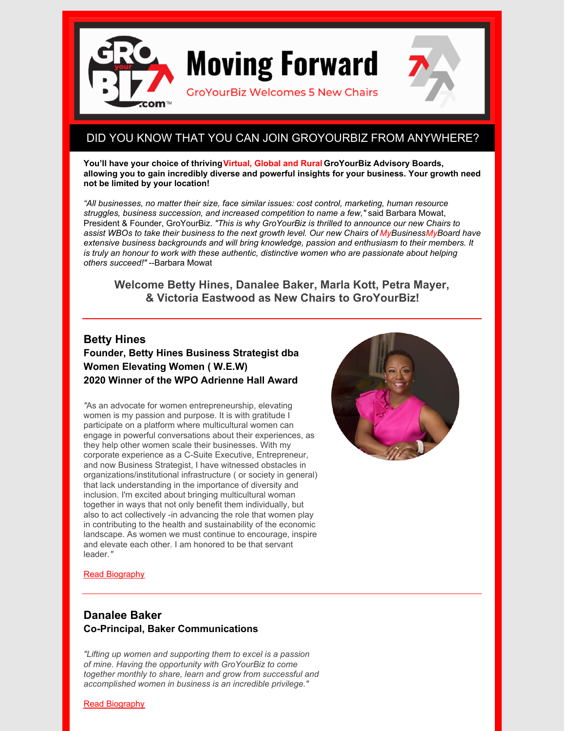

# DID YOU KNOW THAT YOU CAN JOIN GROYOURBIZ FROM ANYWHERE?

**You'll have your choice of thrivingVirtual, Global and Rural GroYourBiz Advisory Boards, allowing you to gain incredibly diverse and powerful insights for your business. Your growth need not be limited by your location!**

*"All businesses, no matter their size, face similar issues: cost control, marketing, human resource struggles, business succession, and increased competition to name a few,"* said Barbara Mowat, President & Founder, GroYourBiz. *"This is why GroYourBiz is thrilled to announce our new Chairs to assist WBOs to take their business to the next growth level. Our new Chairs of MyBusinessMyBoard have extensive business backgrounds and will bring knowledge, passion and enthusiasm to their members. It is truly an honour to work with these authentic, distinctive women who are passionate about helping others succeed!"* --Barbara Mowat

**Welcome Betty Hines, Danalee Baker, Marla Kott, Petra Mayer, & Victoria Eastwood as New Chairs to GroYourBiz!**

#### **Betty Hines**

## **Founder, Betty Hines Business Strategist dba Women Elevating Women ( W.E.W) 2020 Winner of the WPO Adrienne Hall Award**

*"*As an advocate for women entrepreneurship, elevating women is my passion and purpose. It is with gratitude I participate on a platform where multicultural women can engage in powerful conversations about their experiences, as they help other women scale their businesses. With my corporate experience as a C-Suite Executive, Entrepreneur, and now Business Strategist, I have witnessed obstacles in organizations/institutional infrastructure ( or society in general) that lack understanding in the importance of diversity and inclusion. I'm excited about bringing multicultural woman together in ways that not only benefit them individually, but also to act collectively -in advancing the role that women play in contributing to the health and sustainability of the economic landscape. As women we must continue to encourage, inspire and elevate each other. I am honored to be that servant leader.*"*



#### Read [Biography](https://groyourbiz.com/about-us/our-team/betty-hines/)

## **Danalee Baker Co-Principal, Baker Communications**

*"Lifting up women and supporting them to excel is a passion of mine. Having the opportunity with GroYourBiz to come together monthly to share, learn and grow from successful and accomplished women in business is an incredible privilege."*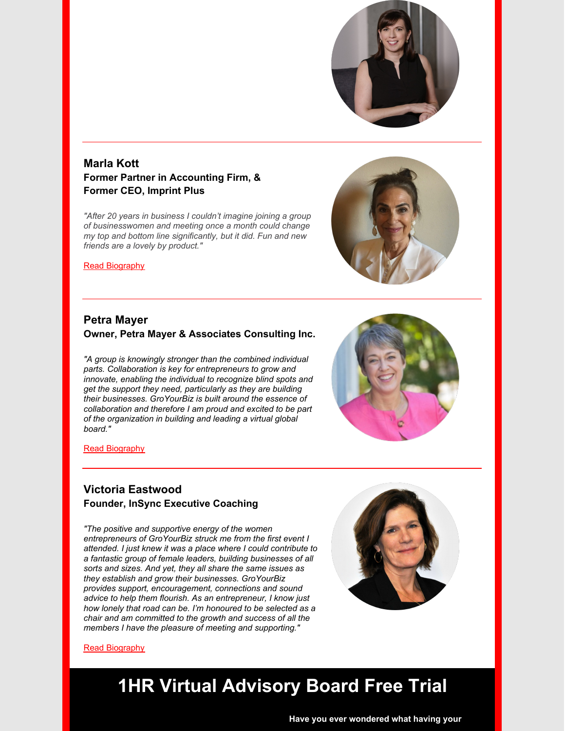

# **Marla Kott Former Partner in Accounting Firm, & Former CEO, Imprint Plus**

*"After 20 years in business I couldn't imagine joining a group of businesswomen and meeting once a month could change my top and bottom line significantly, but it did. Fun and new friends are a lovely by product."*



Read [Biography](https://groyourbiz.com/about-us/our-team/marla-kott/)

### **Petra Mayer Owner, Petra Mayer & Associates Consulting Inc.**

*"A group is knowingly stronger than the combined individual parts. Collaboration is key for entrepreneurs to grow and innovate, enabling the individual to recognize blind spots and get the support they need, particularly as they are building their businesses. GroYourBiz is built around the essence of collaboration and therefore I am proud and excited to be part of the organization in building and leading a virtual global board."*



Read [Biography](https://groyourbiz.com/about-us/our-team/petra-mayer/)

### **Victoria Eastwood Founder, InSync Executive Coaching**

*"The positive and supportive energy of the women entrepreneurs of GroYourBiz struck me from the first event I attended. I just knew it was a place where I could contribute to a fantastic group of female leaders, building businesses of all sorts and sizes. And yet, they all share the same issues as they establish and grow their businesses. GroYourBiz provides support, encouragement, connections and sound advice to help them flourish. As an entrepreneur, I know just how lonely that road can be. I'm honoured to be selected as a chair and am committed to the growth and success of all the members I have the pleasure of meeting and supporting."*



#### Read [Biography](https://groyourbiz.com/about-us/our-team/victoria-eastwood)

# **1HR Virtual Advisory Board Free Trial**